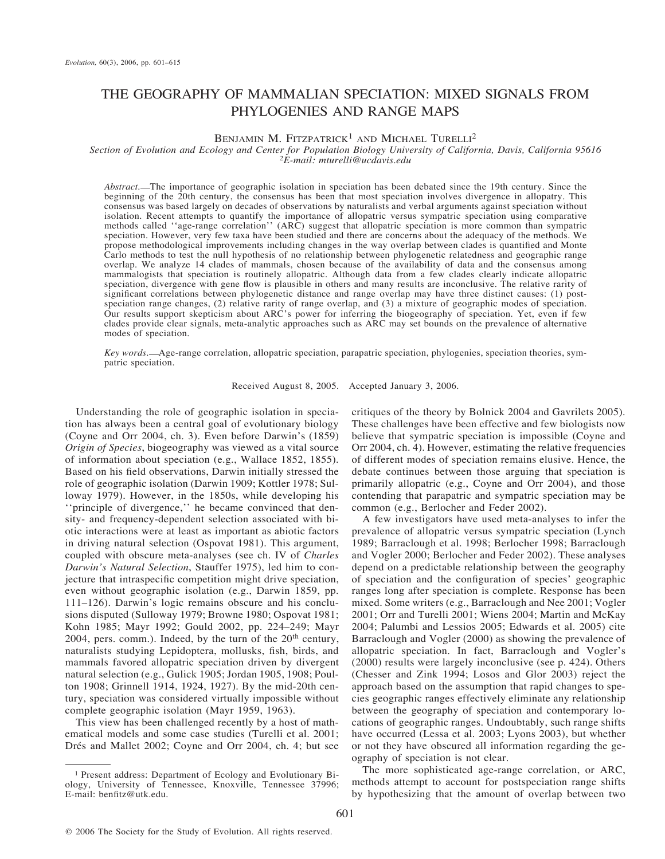# THE GEOGRAPHY OF MAMMALIAN SPECIATION: MIXED SIGNALS FROM PHYLOGENIES AND RANGE MAPS

## BENJAMIN M. FITZPATRICK<sup>1</sup> AND MICHAEL TURELLI<sup>2</sup>

Section of Evolution and Ecology and Center for Population Biology University of California, Davis, California 95616<br><sup>2</sup>E-mail: mturelli@ucdavis.edu

*Abstract.* The importance of geographic isolation in speciation has been debated since the 19th century. Since the beginning of the 20th century, the consensus has been that most speciation involves divergence in allopatry. This consensus was based largely on decades of observations by naturalists and verbal arguments against speciation without isolation. Recent attempts to quantify the importance of allopatric versus sympatric speciation using comparative methods called ''age-range correlation'' (ARC) suggest that allopatric speciation is more common than sympatric speciation. However, very few taxa have been studied and there are concerns about the adequacy of the methods. We propose methodological improvements including changes in the way overlap between clades is quantified and Monte Carlo methods to test the null hypothesis of no relationship between phylogenetic relatedness and geographic range overlap. We analyze 14 clades of mammals, chosen because of the availability of data and the consensus among mammalogists that speciation is routinely allopatric. Although data from a few clades clearly indicate allopatric speciation, divergence with gene flow is plausible in others and many results are inconclusive. The relative rarity of significant correlations between phylogenetic distance and range overlap may have three distinct causes: (1) postspeciation range changes, (2) relative rarity of range overlap, and (3) a mixture of geographic modes of speciation. Our results support skepticism about ARC's power for inferring the biogeography of speciation. Yet, even if few clades provide clear signals, meta-analytic approaches such as ARC may set bounds on the prevalence of alternative modes of speciation.

*Key words.* Age-range correlation, allopatric speciation, parapatric speciation, phylogenies, speciation theories, sympatric speciation.

Received August 8, 2005. Accepted January 3, 2006.

Understanding the role of geographic isolation in speciation has always been a central goal of evolutionary biology (Coyne and Orr 2004, ch. 3). Even before Darwin's (1859) *Origin of Species*, biogeography was viewed as a vital source of information about speciation (e.g., Wallace 1852, 1855). Based on his field observations, Darwin initially stressed the role of geographic isolation (Darwin 1909; Kottler 1978; Sulloway 1979). However, in the 1850s, while developing his ''principle of divergence,'' he became convinced that density- and frequency-dependent selection associated with biotic interactions were at least as important as abiotic factors in driving natural selection (Ospovat 1981). This argument, coupled with obscure meta-analyses (see ch. IV of *Charles Darwin's Natural Selection*, Stauffer 1975), led him to conjecture that intraspecific competition might drive speciation, even without geographic isolation (e.g., Darwin 1859, pp. 111–126). Darwin's logic remains obscure and his conclusions disputed (Sulloway 1979; Browne 1980; Ospovat 1981; Kohn 1985; Mayr 1992; Gould 2002, pp. 224–249; Mayr 2004, pers. comm.). Indeed, by the turn of the  $20<sup>th</sup>$  century, naturalists studying Lepidoptera, mollusks, fish, birds, and mammals favored allopatric speciation driven by divergent natural selection (e.g., Gulick 1905; Jordan 1905, 1908; Poulton 1908; Grinnell 1914, 1924, 1927). By the mid-20th century, speciation was considered virtually impossible without complete geographic isolation (Mayr 1959, 1963).

This view has been challenged recently by a host of mathematical models and some case studies (Turelli et al. 2001; Drés and Mallet 2002; Coyne and Orr 2004, ch. 4; but see critiques of the theory by Bolnick 2004 and Gavrilets 2005). These challenges have been effective and few biologists now believe that sympatric speciation is impossible (Coyne and Orr 2004, ch. 4). However, estimating the relative frequencies of different modes of speciation remains elusive. Hence, the debate continues between those arguing that speciation is primarily allopatric (e.g., Coyne and Orr 2004), and those contending that parapatric and sympatric speciation may be common (e.g., Berlocher and Feder 2002).

A few investigators have used meta-analyses to infer the prevalence of allopatric versus sympatric speciation (Lynch 1989; Barraclough et al. 1998; Berlocher 1998; Barraclough and Vogler 2000; Berlocher and Feder 2002). These analyses depend on a predictable relationship between the geography of speciation and the configuration of species' geographic ranges long after speciation is complete. Response has been mixed. Some writers (e.g., Barraclough and Nee 2001; Vogler 2001; Orr and Turelli 2001; Wiens 2004; Martin and McKay 2004; Palumbi and Lessios 2005; Edwards et al. 2005) cite Barraclough and Vogler (2000) as showing the prevalence of allopatric speciation. In fact, Barraclough and Vogler's (2000) results were largely inconclusive (see p. 424). Others (Chesser and Zink 1994; Losos and Glor 2003) reject the approach based on the assumption that rapid changes to species geographic ranges effectively eliminate any relationship between the geography of speciation and contemporary locations of geographic ranges. Undoubtably, such range shifts have occurred (Lessa et al. 2003; Lyons 2003), but whether or not they have obscured all information regarding the geography of speciation is not clear.

The more sophisticated age-range correlation, or ARC, methods attempt to account for postspeciation range shifts by hypothesizing that the amount of overlap between two

<sup>1</sup> Present address: Department of Ecology and Evolutionary Biology, University of Tennessee, Knoxville, Tennessee 37996; E-mail: benfitz@utk.edu.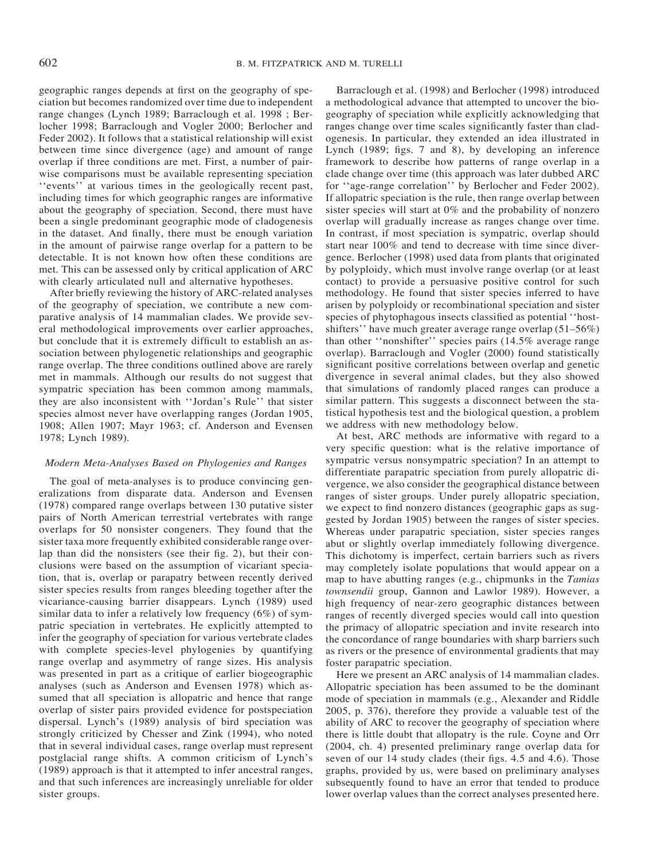geographic ranges depends at first on the geography of speciation but becomes randomized over time due to independent range changes (Lynch 1989; Barraclough et al. 1998 ; Berlocher 1998; Barraclough and Vogler 2000; Berlocher and Feder 2002). It follows that a statistical relationship will exist between time since divergence (age) and amount of range overlap if three conditions are met. First, a number of pairwise comparisons must be available representing speciation ''events'' at various times in the geologically recent past, including times for which geographic ranges are informative about the geography of speciation. Second, there must have been a single predominant geographic mode of cladogenesis in the dataset. And finally, there must be enough variation in the amount of pairwise range overlap for a pattern to be detectable. It is not known how often these conditions are met. This can be assessed only by critical application of ARC with clearly articulated null and alternative hypotheses.

After briefly reviewing the history of ARC-related analyses of the geography of speciation, we contribute a new comparative analysis of 14 mammalian clades. We provide several methodological improvements over earlier approaches, but conclude that it is extremely difficult to establish an association between phylogenetic relationships and geographic range overlap. The three conditions outlined above are rarely met in mammals. Although our results do not suggest that sympatric speciation has been common among mammals, they are also inconsistent with ''Jordan's Rule'' that sister species almost never have overlapping ranges (Jordan 1905, 1908; Allen 1907; Mayr 1963; cf. Anderson and Evensen 1978; Lynch 1989).

### *Modern Meta-Analyses Based on Phylogenies and Ranges*

The goal of meta-analyses is to produce convincing generalizations from disparate data. Anderson and Evensen (1978) compared range overlaps between 130 putative sister pairs of North American terrestrial vertebrates with range overlaps for 50 nonsister congeners. They found that the sister taxa more frequently exhibited considerable range overlap than did the nonsisters (see their fig. 2), but their conclusions were based on the assumption of vicariant speciation, that is, overlap or parapatry between recently derived sister species results from ranges bleeding together after the vicariance-causing barrier disappears. Lynch (1989) used similar data to infer a relatively low frequency (6%) of sympatric speciation in vertebrates. He explicitly attempted to infer the geography of speciation for various vertebrate clades with complete species-level phylogenies by quantifying range overlap and asymmetry of range sizes. His analysis was presented in part as a critique of earlier biogeographic analyses (such as Anderson and Evensen 1978) which assumed that all speciation is allopatric and hence that range overlap of sister pairs provided evidence for postspeciation dispersal. Lynch's (1989) analysis of bird speciation was strongly criticized by Chesser and Zink (1994), who noted that in several individual cases, range overlap must represent postglacial range shifts. A common criticism of Lynch's (1989) approach is that it attempted to infer ancestral ranges, and that such inferences are increasingly unreliable for older sister groups.

Barraclough et al. (1998) and Berlocher (1998) introduced a methodological advance that attempted to uncover the biogeography of speciation while explicitly acknowledging that ranges change over time scales significantly faster than cladogenesis. In particular, they extended an idea illustrated in Lynch (1989; figs. 7 and 8), by developing an inference framework to describe how patterns of range overlap in a clade change over time (this approach was later dubbed ARC for ''age-range correlation'' by Berlocher and Feder 2002). If allopatric speciation is the rule, then range overlap between sister species will start at 0% and the probability of nonzero overlap will gradually increase as ranges change over time. In contrast, if most speciation is sympatric, overlap should start near 100% and tend to decrease with time since divergence. Berlocher (1998) used data from plants that originated by polyploidy, which must involve range overlap (or at least contact) to provide a persuasive positive control for such methodology. He found that sister species inferred to have arisen by polyploidy or recombinational speciation and sister species of phytophagous insects classified as potential ''hostshifters'' have much greater average range overlap (51–56%) than other ''nonshifter'' species pairs (14.5% average range overlap). Barraclough and Vogler (2000) found statistically significant positive correlations between overlap and genetic divergence in several animal clades, but they also showed that simulations of randomly placed ranges can produce a similar pattern. This suggests a disconnect between the statistical hypothesis test and the biological question, a problem we address with new methodology below.

At best, ARC methods are informative with regard to a very specific question: what is the relative importance of sympatric versus nonsympatric speciation? In an attempt to differentiate parapatric speciation from purely allopatric divergence, we also consider the geographical distance between ranges of sister groups. Under purely allopatric speciation, we expect to find nonzero distances (geographic gaps as suggested by Jordan 1905) between the ranges of sister species. Whereas under parapatric speciation, sister species ranges abut or slightly overlap immediately following divergence. This dichotomy is imperfect, certain barriers such as rivers may completely isolate populations that would appear on a map to have abutting ranges (e.g., chipmunks in the *Tamias townsendii* group, Gannon and Lawlor 1989). However, a high frequency of near-zero geographic distances between ranges of recently diverged species would call into question the primacy of allopatric speciation and invite research into the concordance of range boundaries with sharp barriers such as rivers or the presence of environmental gradients that may foster parapatric speciation.

Here we present an ARC analysis of 14 mammalian clades. Allopatric speciation has been assumed to be the dominant mode of speciation in mammals (e.g., Alexander and Riddle 2005, p. 376), therefore they provide a valuable test of the ability of ARC to recover the geography of speciation where there is little doubt that allopatry is the rule. Coyne and Orr (2004, ch. 4) presented preliminary range overlap data for seven of our 14 study clades (their figs. 4.5 and 4.6). Those graphs, provided by us, were based on preliminary analyses subsequently found to have an error that tended to produce lower overlap values than the correct analyses presented here.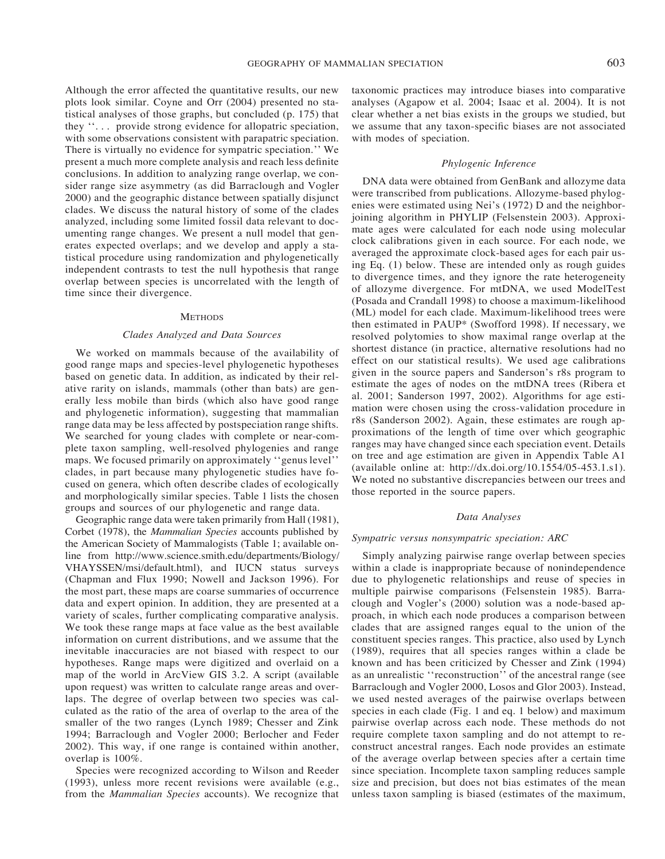Although the error affected the quantitative results, our new plots look similar. Coyne and Orr (2004) presented no statistical analyses of those graphs, but concluded (p. 175) that they ''. . . provide strong evidence for allopatric speciation, with some observations consistent with parapatric speciation. There is virtually no evidence for sympatric speciation.'' We present a much more complete analysis and reach less definite conclusions. In addition to analyzing range overlap, we consider range size asymmetry (as did Barraclough and Vogler 2000) and the geographic distance between spatially disjunct clades. We discuss the natural history of some of the clades analyzed, including some limited fossil data relevant to documenting range changes. We present a null model that generates expected overlaps; and we develop and apply a statistical procedure using randomization and phylogenetically independent contrasts to test the null hypothesis that range

#### **METHODS**

overlap between species is uncorrelated with the length of

time since their divergence.

## *Clades Analyzed and Data Sources*

We worked on mammals because of the availability of good range maps and species-level phylogenetic hypotheses based on genetic data. In addition, as indicated by their relative rarity on islands, mammals (other than bats) are generally less mobile than birds (which also have good range and phylogenetic information), suggesting that mammalian range data may be less affected by postspeciation range shifts. We searched for young clades with complete or near-complete taxon sampling, well-resolved phylogenies and range maps. We focused primarily on approximately ''genus level'' clades, in part because many phylogenetic studies have focused on genera, which often describe clades of ecologically and morphologically similar species. Table 1 lists the chosen groups and sources of our phylogenetic and range data.

Geographic range data were taken primarily from Hall (1981), Corbet (1978), the *Mammalian Species* accounts published by the American Society of Mammalogists (Table 1; available online from http://www.science.smith.edu/departments/Biology/ VHAYSSEN/msi/default.html), and IUCN status surveys (Chapman and Flux 1990; Nowell and Jackson 1996). For the most part, these maps are coarse summaries of occurrence data and expert opinion. In addition, they are presented at a variety of scales, further complicating comparative analysis. We took these range maps at face value as the best available information on current distributions, and we assume that the inevitable inaccuracies are not biased with respect to our hypotheses. Range maps were digitized and overlaid on a map of the world in ArcView GIS 3.2. A script (available upon request) was written to calculate range areas and overlaps. The degree of overlap between two species was calculated as the ratio of the area of overlap to the area of the smaller of the two ranges (Lynch 1989; Chesser and Zink 1994; Barraclough and Vogler 2000; Berlocher and Feder 2002). This way, if one range is contained within another, overlap is 100%.

Species were recognized according to Wilson and Reeder (1993), unless more recent revisions were available (e.g., from the *Mammalian Species* accounts). We recognize that

taxonomic practices may introduce biases into comparative analyses (Agapow et al. 2004; Isaac et al. 2004). It is not clear whether a net bias exists in the groups we studied, but we assume that any taxon-specific biases are not associated with modes of speciation.

## *Phylogenic Inference*

DNA data were obtained from GenBank and allozyme data were transcribed from publications. Allozyme-based phylogenies were estimated using Nei's (1972) D and the neighborjoining algorithm in PHYLIP (Felsenstein 2003). Approximate ages were calculated for each node using molecular clock calibrations given in each source. For each node, we averaged the approximate clock-based ages for each pair using Eq. (1) below. These are intended only as rough guides to divergence times, and they ignore the rate heterogeneity of allozyme divergence. For mtDNA, we used ModelTest (Posada and Crandall 1998) to choose a maximum-likelihood (ML) model for each clade. Maximum-likelihood trees were then estimated in PAUP\* (Swofford 1998). If necessary, we resolved polytomies to show maximal range overlap at the shortest distance (in practice, alternative resolutions had no effect on our statistical results). We used age calibrations given in the source papers and Sanderson's r8s program to estimate the ages of nodes on the mtDNA trees (Ribera et al. 2001; Sanderson 1997, 2002). Algorithms for age estimation were chosen using the cross-validation procedure in r8s (Sanderson 2002). Again, these estimates are rough approximations of the length of time over which geographic ranges may have changed since each speciation event. Details on tree and age estimation are given in Appendix Table A1 (available online at: http://dx.doi.org/10.1554/05-453.1.s1). We noted no substantive discrepancies between our trees and those reported in the source papers.

## *Data Analyses*

#### *Sympatric versus nonsympatric speciation: ARC*

Simply analyzing pairwise range overlap between species within a clade is inappropriate because of nonindependence due to phylogenetic relationships and reuse of species in multiple pairwise comparisons (Felsenstein 1985). Barraclough and Vogler's (2000) solution was a node-based approach, in which each node produces a comparison between clades that are assigned ranges equal to the union of the constituent species ranges. This practice, also used by Lynch (1989), requires that all species ranges within a clade be known and has been criticized by Chesser and Zink (1994) as an unrealistic ''reconstruction'' of the ancestral range (see Barraclough and Vogler 2000, Losos and Glor 2003). Instead, we used nested averages of the pairwise overlaps between species in each clade (Fig. 1 and eq. 1 below) and maximum pairwise overlap across each node. These methods do not require complete taxon sampling and do not attempt to reconstruct ancestral ranges. Each node provides an estimate of the average overlap between species after a certain time since speciation. Incomplete taxon sampling reduces sample size and precision, but does not bias estimates of the mean unless taxon sampling is biased (estimates of the maximum,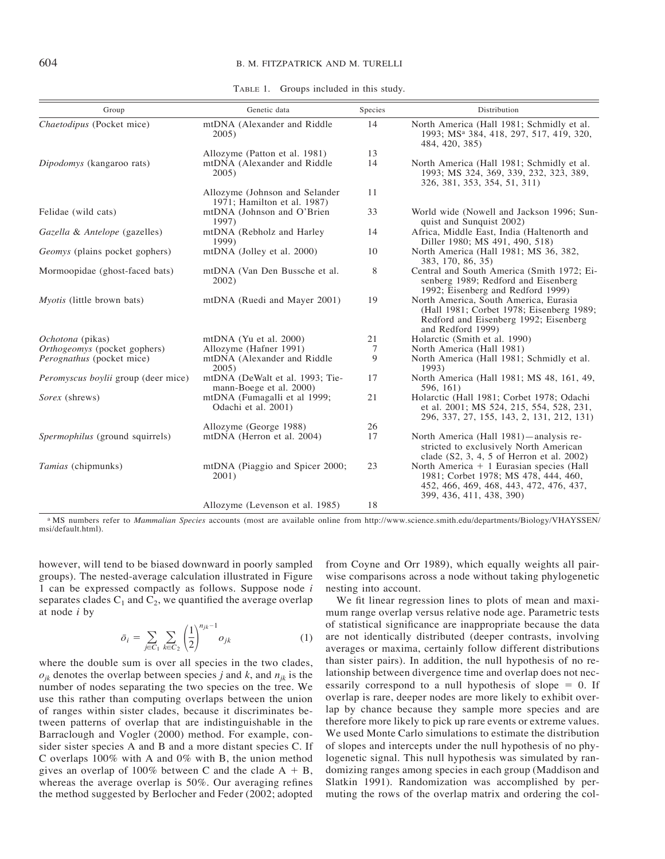| Group                                      | Genetic data                                                  | Species | Distribution                                                                                                                                             |
|--------------------------------------------|---------------------------------------------------------------|---------|----------------------------------------------------------------------------------------------------------------------------------------------------------|
| Chaetodipus (Pocket mice)                  | mtDNA (Alexander and Riddle<br>2005)                          | 14      | North America (Hall 1981; Schmidly et al.<br>1993; MS <sup>a</sup> 384, 418, 297, 517, 419, 320,<br>484, 420, 385)                                       |
|                                            | Allozyme (Patton et al. 1981)                                 | 13      |                                                                                                                                                          |
| Dipodomys (kangaroo rats)                  | mtDNA (Alexander and Riddle<br>2005)                          | 14      | North America (Hall 1981; Schmidly et al.<br>1993; MS 324, 369, 339, 232, 323, 389,<br>326, 381, 353, 354, 51, 311)                                      |
|                                            | Allozyme (Johnson and Selander<br>1971; Hamilton et al. 1987) | 11      |                                                                                                                                                          |
| Felidae (wild cats)                        | mtDNA (Johnson and O'Brien<br>1997)                           | 33      | World wide (Nowell and Jackson 1996; Sun-<br>quist and Sunquist 2002)                                                                                    |
| Gazella & Antelope (gazelles)              | mtDNA (Rebholz and Harley<br>1999)                            | 14      | Africa, Middle East, India (Haltenorth and<br>Diller 1980; MS 491, 490, 518)                                                                             |
| <i>Geomys</i> (plains pocket gophers)      | mtDNA (Jolley et al. 2000)                                    | 10      | North America (Hall 1981; MS 36, 382,<br>383, 170, 86, 35)                                                                                               |
| Mormoopidae (ghost-faced bats)             | mtDNA (Van Den Bussche et al.<br>2002)                        | 8       | Central and South America (Smith 1972; Ei-<br>senberg 1989; Redford and Eisenberg<br>1992; Eisenberg and Redford 1999)                                   |
| <i>Myotis</i> (little brown bats)          | mtDNA (Ruedi and Mayer 2001)                                  | 19      | North America, South America, Eurasia<br>(Hall 1981; Corbet 1978; Eisenberg 1989;<br>Redford and Eisenberg 1992; Eisenberg<br>and Redford 1999)          |
| Ochotona (pikas)                           | $mtDNA$ (Yu et al. 2000)                                      | 21      | Holarctic (Smith et al. 1990)                                                                                                                            |
| Orthogeomys (pocket gophers)               | Allozyme (Hafner 1991)                                        | 7       | North America (Hall 1981)                                                                                                                                |
| Perognathus (pocket mice)                  | mtDNA (Alexander and Riddle<br>$2005$ )                       | 9       | North America (Hall 1981; Schmidly et al.<br>1993)                                                                                                       |
| <i>Peromyscus boylii</i> group (deer mice) | mtDNA (DeWalt et al. 1993; Tie-<br>mann-Boege et al. 2000)    | 17      | North America (Hall 1981; MS 48, 161, 49,<br>596, 161)                                                                                                   |
| Sorex (shrews)                             | mtDNA (Fumagalli et al 1999;<br>Odachi et al. 2001)           | 21      | Holarctic (Hall 1981; Corbet 1978; Odachi<br>et al. 2001; MS 524, 215, 554, 528, 231,<br>296, 337, 27, 155, 143, 2, 131, 212, 131)                       |
|                                            | Allozyme (George 1988)                                        | 26      |                                                                                                                                                          |
| <i>Spermophilus</i> (ground squirrels)     | mtDNA (Herron et al. 2004)                                    | 17      | North America (Hall 1981)—analysis re-<br>stricted to exclusively North American<br>clade $(S2, 3, 4, 5$ of Herron et al. 2002)                          |
| <i>Tamias</i> (chipmunks)                  | mtDNA (Piaggio and Spicer 2000;<br>2001)                      | 23      | North America $+1$ Eurasian species (Hall<br>1981; Corbet 1978; MS 478, 444, 460,<br>452, 466, 469, 468, 443, 472, 476, 437,<br>399, 436, 411, 438, 390) |
|                                            | Allozyme (Levenson et al. 1985)                               | 18      |                                                                                                                                                          |

TABLE 1. Groups included in this study.

<sup>a</sup> MS numbers refer to *Mammalian Species* accounts (most are available online from http://www.science.smith.edu/departments/Biology/VHAYSSEN/ msi/default.html).

however, will tend to be biased downward in poorly sampled groups). The nested-average calculation illustrated in Figure 1 can be expressed compactly as follows. Suppose node *i* separates clades  $C_1$  and  $C_2$ , we quantified the average overlap at node *i* by

$$
\bar{o}_i = \sum_{j \in C_1} \sum_{k \in C_2} \left(\frac{1}{2}\right)^{n_{jk}-1} o_{jk} \tag{1}
$$

where the double sum is over all species in the two clades,  $o_{ik}$  denotes the overlap between species *j* and *k*, and  $n_{ik}$  is the number of nodes separating the two species on the tree. We use this rather than computing overlaps between the union of ranges within sister clades, because it discriminates between patterns of overlap that are indistinguishable in the Barraclough and Vogler (2000) method. For example, consider sister species A and B and a more distant species C. If C overlaps 100% with A and 0% with B, the union method gives an overlap of 100% between C and the clade  $A + B$ , whereas the average overlap is 50%. Our averaging refines the method suggested by Berlocher and Feder (2002; adopted

from Coyne and Orr 1989), which equally weights all pairwise comparisons across a node without taking phylogenetic nesting into account.

We fit linear regression lines to plots of mean and maximum range overlap versus relative node age. Parametric tests of statistical significance are inappropriate because the data are not identically distributed (deeper contrasts, involving averages or maxima, certainly follow different distributions than sister pairs). In addition, the null hypothesis of no relationship between divergence time and overlap does not necessarily correspond to a null hypothesis of slope  $= 0$ . If overlap is rare, deeper nodes are more likely to exhibit overlap by chance because they sample more species and are therefore more likely to pick up rare events or extreme values. We used Monte Carlo simulations to estimate the distribution of slopes and intercepts under the null hypothesis of no phylogenetic signal. This null hypothesis was simulated by randomizing ranges among species in each group (Maddison and Slatkin 1991). Randomization was accomplished by permuting the rows of the overlap matrix and ordering the col-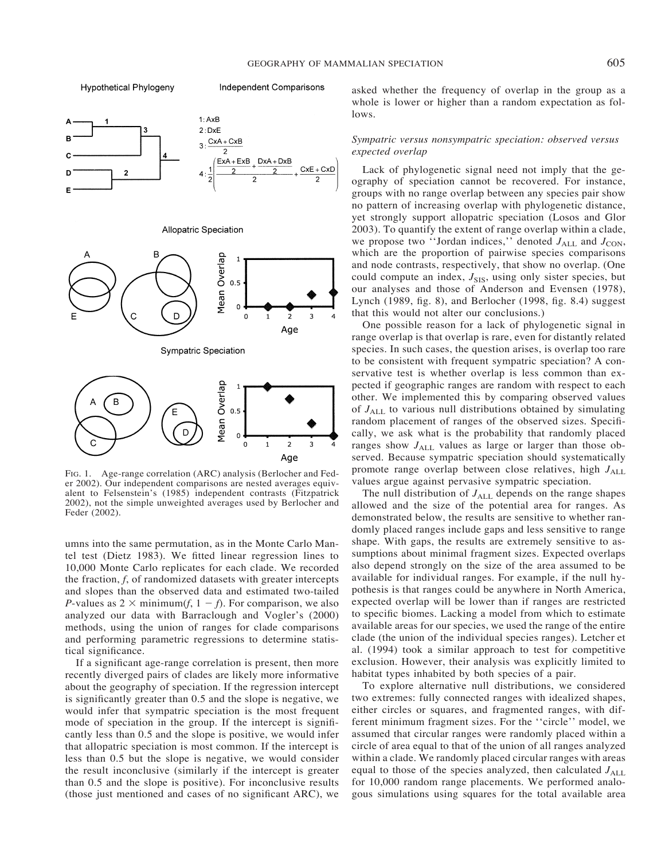

FIG. 1. Age-range correlation (ARC) analysis (Berlocher and Feder 2002). Our independent comparisons are nested averages equivalent to Felsenstein's (1985) independent contrasts (Fitzpatrick 2002), not the simple unweighted averages used by Berlocher and Feder (2002).

umns into the same permutation, as in the Monte Carlo Mantel test (Dietz 1983). We fitted linear regression lines to 10,000 Monte Carlo replicates for each clade. We recorded the fraction, *f*, of randomized datasets with greater intercepts and slopes than the observed data and estimated two-tailed *P*-values as 2  $\times$  minimum(*f*, 1 - *f*). For comparison, we also analyzed our data with Barraclough and Vogler's (2000) methods, using the union of ranges for clade comparisons and performing parametric regressions to determine statistical significance.

If a significant age-range correlation is present, then more recently diverged pairs of clades are likely more informative about the geography of speciation. If the regression intercept is significantly greater than 0.5 and the slope is negative, we would infer that sympatric speciation is the most frequent mode of speciation in the group. If the intercept is significantly less than 0.5 and the slope is positive, we would infer that allopatric speciation is most common. If the intercept is less than 0.5 but the slope is negative, we would consider the result inconclusive (similarly if the intercept is greater than 0.5 and the slope is positive). For inconclusive results (those just mentioned and cases of no significant ARC), we

asked whether the frequency of overlap in the group as a whole is lower or higher than a random expectation as follows.

## *Sympatric versus nonsympatric speciation: observed versus expected overlap*

Lack of phylogenetic signal need not imply that the geography of speciation cannot be recovered. For instance, groups with no range overlap between any species pair show no pattern of increasing overlap with phylogenetic distance, yet strongly support allopatric speciation (Losos and Glor 2003). To quantify the extent of range overlap within a clade, we propose two "Jordan indices," denoted  $J_{ALL}$  and  $J_{CON}$ , which are the proportion of pairwise species comparisons and node contrasts, respectively, that show no overlap. (One could compute an index,  $J_{\text{SIS}}$ , using only sister species, but our analyses and those of Anderson and Evensen (1978), Lynch (1989, fig. 8), and Berlocher (1998, fig. 8.4) suggest that this would not alter our conclusions.)

One possible reason for a lack of phylogenetic signal in range overlap is that overlap is rare, even for distantly related species. In such cases, the question arises, is overlap too rare to be consistent with frequent sympatric speciation? A conservative test is whether overlap is less common than expected if geographic ranges are random with respect to each other. We implemented this by comparing observed values of  $J_{ALL}$  to various null distributions obtained by simulating random placement of ranges of the observed sizes. Specifically, we ask what is the probability that randomly placed ranges show  $J_{ALL}$  values as large or larger than those observed. Because sympatric speciation should systematically promote range overlap between close relatives, high  $J_{\text{ALL}}$ values argue against pervasive sympatric speciation.

The null distribution of  $J_{ALL}$  depends on the range shapes allowed and the size of the potential area for ranges. As demonstrated below, the results are sensitive to whether randomly placed ranges include gaps and less sensitive to range shape. With gaps, the results are extremely sensitive to assumptions about minimal fragment sizes. Expected overlaps also depend strongly on the size of the area assumed to be available for individual ranges. For example, if the null hypothesis is that ranges could be anywhere in North America, expected overlap will be lower than if ranges are restricted to specific biomes. Lacking a model from which to estimate available areas for our species, we used the range of the entire clade (the union of the individual species ranges). Letcher et al. (1994) took a similar approach to test for competitive exclusion. However, their analysis was explicitly limited to habitat types inhabited by both species of a pair.

To explore alternative null distributions, we considered two extremes: fully connected ranges with idealized shapes, either circles or squares, and fragmented ranges, with different minimum fragment sizes. For the ''circle'' model, we assumed that circular ranges were randomly placed within a circle of area equal to that of the union of all ranges analyzed within a clade. We randomly placed circular ranges with areas equal to those of the species analyzed, then calculated  $J<sub>ALL</sub>$ for 10,000 random range placements. We performed analogous simulations using squares for the total available area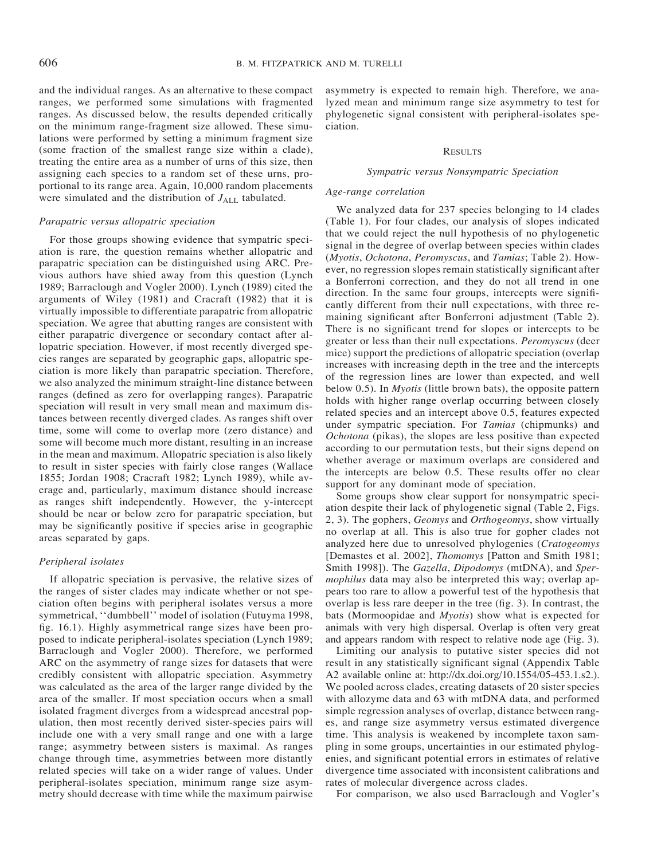and the individual ranges. As an alternative to these compact ranges, we performed some simulations with fragmented ranges. As discussed below, the results depended critically on the minimum range-fragment size allowed. These simulations were performed by setting a minimum fragment size (some fraction of the smallest range size within a clade), treating the entire area as a number of urns of this size, then assigning each species to a random set of these urns, proportional to its range area. Again, 10,000 random placements were simulated and the distribution of  $J_{\text{ALL}}$  tabulated.

#### *Parapatric versus allopatric speciation*

For those groups showing evidence that sympatric speciation is rare, the question remains whether allopatric and parapatric speciation can be distinguished using ARC. Previous authors have shied away from this question (Lynch 1989; Barraclough and Vogler 2000). Lynch (1989) cited the arguments of Wiley (1981) and Cracraft (1982) that it is virtually impossible to differentiate parapatric from allopatric speciation. We agree that abutting ranges are consistent with either parapatric divergence or secondary contact after allopatric speciation. However, if most recently diverged species ranges are separated by geographic gaps, allopatric speciation is more likely than parapatric speciation. Therefore, we also analyzed the minimum straight-line distance between ranges (defined as zero for overlapping ranges). Parapatric speciation will result in very small mean and maximum distances between recently diverged clades. As ranges shift over time, some will come to overlap more (zero distance) and some will become much more distant, resulting in an increase in the mean and maximum. Allopatric speciation is also likely to result in sister species with fairly close ranges (Wallace 1855; Jordan 1908; Cracraft 1982; Lynch 1989), while average and, particularly, maximum distance should increase as ranges shift independently. However, the y-intercept should be near or below zero for parapatric speciation, but may be significantly positive if species arise in geographic areas separated by gaps.

## *Peripheral isolates*

If allopatric speciation is pervasive, the relative sizes of the ranges of sister clades may indicate whether or not speciation often begins with peripheral isolates versus a more symmetrical, ''dumbbell'' model of isolation (Futuyma 1998, fig. 16.1). Highly asymmetrical range sizes have been proposed to indicate peripheral-isolates speciation (Lynch 1989; Barraclough and Vogler 2000). Therefore, we performed ARC on the asymmetry of range sizes for datasets that were credibly consistent with allopatric speciation. Asymmetry was calculated as the area of the larger range divided by the area of the smaller. If most speciation occurs when a small isolated fragment diverges from a widespread ancestral population, then most recently derived sister-species pairs will include one with a very small range and one with a large range; asymmetry between sisters is maximal. As ranges change through time, asymmetries between more distantly related species will take on a wider range of values. Under peripheral-isolates speciation, minimum range size asymmetry should decrease with time while the maximum pairwise

asymmetry is expected to remain high. Therefore, we analyzed mean and minimum range size asymmetry to test for phylogenetic signal consistent with peripheral-isolates speciation.

#### **RESULTS**

## *Sympatric versus Nonsympatric Speciation*

## *Age-range correlation*

We analyzed data for 237 species belonging to 14 clades (Table 1). For four clades, our analysis of slopes indicated that we could reject the null hypothesis of no phylogenetic signal in the degree of overlap between species within clades (*Myotis*, *Ochotona*, *Peromyscus*, and *Tamias*; Table 2). However, no regression slopes remain statistically significant after a Bonferroni correction, and they do not all trend in one direction. In the same four groups, intercepts were significantly different from their null expectations, with three remaining significant after Bonferroni adjustment (Table 2). There is no significant trend for slopes or intercepts to be greater or less than their null expectations. *Peromyscus* (deer mice) support the predictions of allopatric speciation (overlap increases with increasing depth in the tree and the intercepts of the regression lines are lower than expected, and well below 0.5). In *Myotis* (little brown bats), the opposite pattern holds with higher range overlap occurring between closely related species and an intercept above 0.5, features expected under sympatric speciation. For *Tamias* (chipmunks) and *Ochotona* (pikas), the slopes are less positive than expected according to our permutation tests, but their signs depend on whether average or maximum overlaps are considered and the intercepts are below 0.5. These results offer no clear support for any dominant mode of speciation.

Some groups show clear support for nonsympatric speciation despite their lack of phylogenetic signal (Table 2, Figs. 2, 3). The gophers, *Geomys* and *Orthogeomys*, show virtually no overlap at all. This is also true for gopher clades not analyzed here due to unresolved phylogenies (*Cratogeomys* [Demastes et al. 2002], *Thomomys* [Patton and Smith 1981; Smith 1998]). The *Gazella*, *Dipodomys* (mtDNA), and *Spermophilus* data may also be interpreted this way; overlap appears too rare to allow a powerful test of the hypothesis that overlap is less rare deeper in the tree (fig. 3). In contrast, the bats (Mormoopidae and *Myotis*) show what is expected for animals with very high dispersal. Overlap is often very great and appears random with respect to relative node age (Fig. 3).

Limiting our analysis to putative sister species did not result in any statistically significant signal (Appendix Table A2 available online at: http://dx.doi.org/10.1554/05-453.1.s2.). We pooled across clades, creating datasets of 20 sister species with allozyme data and 63 with mtDNA data, and performed simple regression analyses of overlap, distance between ranges, and range size asymmetry versus estimated divergence time. This analysis is weakened by incomplete taxon sampling in some groups, uncertainties in our estimated phylogenies, and significant potential errors in estimates of relative divergence time associated with inconsistent calibrations and rates of molecular divergence across clades.

For comparison, we also used Barraclough and Vogler's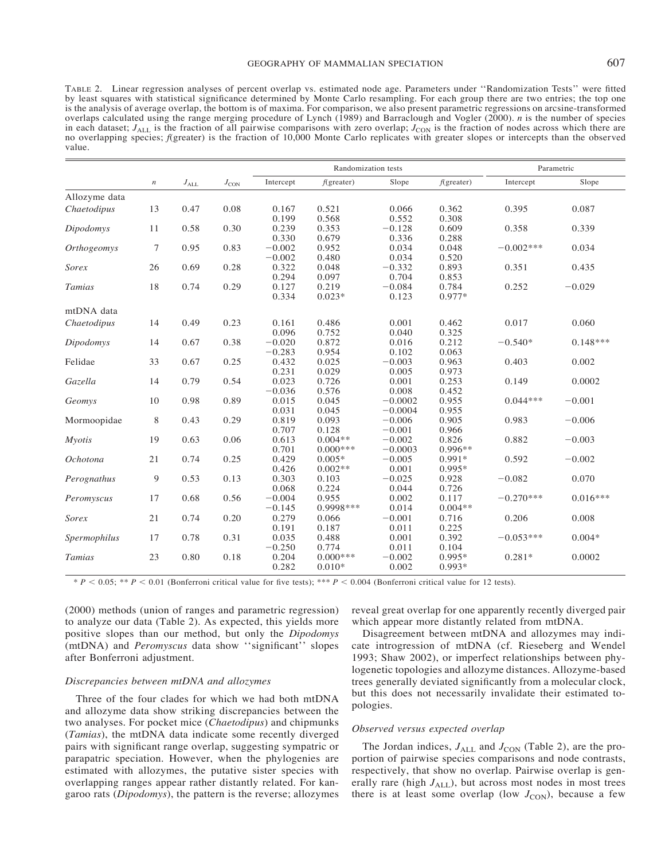TABLE 2. Linear regression analyses of percent overlap vs. estimated node age. Parameters under ''Randomization Tests'' were fitted by least squares with statistical significance determined by Monte Carlo resampling. For each group there are two entries; the top one is the analysis of average overlap, the bottom is of maxima. For comparison, we also present parametric regressions on arcsine-transformed overlaps calculated using the range merging procedure of Lynch (1989) and Barraclough and Vogler (2000). *n* is the number of species in each dataset;  $J<sub>ALL</sub>$  is the fraction of all pairwise comparisons with zero overlap;  $J<sub>CON</sub>$  is the fraction of nodes across which there are no overlapping species; *f*(greater) is the fraction of 10,000 Monte Carlo replicates with greater slopes or intercepts than the observed value.

|               |            |                    |                  | Randomization tests |             |           | Parametric          |             |            |
|---------------|------------|--------------------|------------------|---------------------|-------------|-----------|---------------------|-------------|------------|
|               | $\sqrt{n}$ | $J_{\mathrm{ALL}}$ | $J_{\text{CON}}$ | Intercept           | f(greater)  | Slope     | $f(\text{greater})$ | Intercept   | Slope      |
| Allozyme data |            |                    |                  |                     |             |           |                     |             |            |
| Chaetodipus   | 13         | 0.47               | 0.08             | 0.167               | 0.521       | 0.066     | 0.362               | 0.395       | 0.087      |
|               |            |                    |                  | 0.199               | 0.568       | 0.552     | 0.308               |             |            |
| Dipodomys     | 11         | 0.58               | 0.30             | 0.239               | 0.353       | $-0.128$  | 0.609               | 0.358       | 0.339      |
|               |            |                    |                  | 0.330               | 0.679       | 0.336     | 0.288               |             |            |
| Orthogeomys   | 7          | 0.95               | 0.83             | $-0.002$            | 0.952       | 0.034     | 0.048               | $-0.002***$ | 0.034      |
|               |            |                    |                  | $-0.002$            | 0.480       | 0.034     | 0.520               |             |            |
| Sorex         | 26         | 0.69               | 0.28             | 0.322               | 0.048       | $-0.332$  | 0.893               | 0.351       | 0.435      |
|               |            |                    |                  | 0.294               | 0.097       | 0.704     | 0.853               |             |            |
| Tamias        | 18         | 0.74               | 0.29             | 0.127               | 0.219       | $-0.084$  | 0.784               | 0.252       | $-0.029$   |
|               |            |                    |                  | 0.334               | $0.023*$    | 0.123     | $0.977*$            |             |            |
| mtDNA data    |            |                    |                  |                     |             |           |                     |             |            |
| Chaetodipus   | 14         | 0.49               | 0.23             | 0.161               | 0.486       | 0.001     | 0.462               | 0.017       | 0.060      |
|               |            |                    |                  | 0.096               | 0.752       | 0.040     | 0.325               |             |            |
| Dipodomys     | 14         | 0.67               | 0.38             | $-0.020$            | 0.872       | 0.016     | 0.212               | $-0.540*$   | $0.148***$ |
|               |            |                    |                  | $-0.283$            | 0.954       | 0.102     | 0.063               |             |            |
| Felidae       | 33         | 0.67               | 0.25             | 0.432               | 0.025       | $-0.003$  | 0.963               | 0.403       | 0.002      |
|               |            |                    |                  | 0.231               | 0.029       | 0.005     | 0.973               |             |            |
| Gazella       | 14         | 0.79               | 0.54             | 0.023               | 0.726       | 0.001     | 0.253               | 0.149       | 0.0002     |
|               |            |                    |                  | $-0.036$            | 0.576       | 0.008     | 0.452               |             |            |
| Geomys        | 10         | 0.98               | 0.89             | 0.015               | 0.045       | $-0.0002$ | 0.955               | $0.044***$  | $-0.001$   |
|               |            |                    |                  | 0.031               | 0.045       | $-0.0004$ | 0.955               |             |            |
| Mormoopidae   | 8          | 0.43               | 0.29             | 0.819               | 0.093       | $-0.006$  | 0.905               | 0.983       | $-0.006$   |
|               |            |                    |                  | 0.707               | 0.128       | $-0.001$  | 0.966               |             |            |
| <b>Myotis</b> | 19         | 0.63               | 0.06             | 0.613               | $0.004**$   | $-0.002$  | 0.826               | 0.882       | $-0.003$   |
|               |            |                    |                  | 0.701               | $0.000***$  | $-0.0003$ | $0.996**$           |             |            |
| Ochotona      | 21         | 0.74               | 0.25             | 0.429               | $0.005*$    | $-0.005$  | $0.991*$            | 0.592       | $-0.002$   |
|               |            |                    |                  | 0.426               | $0.002**$   | 0.001     | $0.995*$            |             |            |
| Perognathus   | 9          | 0.53               | 0.13             | 0.303               | 0.103       | $-0.025$  | 0.928               | $-0.082$    | 0.070      |
|               |            |                    |                  | 0.068               | 0.224       | 0.044     | 0.726               |             |            |
| Peromyscus    | 17         | 0.68               | 0.56             | $-0.004$            | 0.955       | 0.002     | 0.117               | $-0.270***$ | $0.016***$ |
|               |            |                    |                  | $-0.145$            | $0.9998***$ | 0.014     | $0.004**$           |             |            |
| Sorex         | 21         | 0.74               | 0.20             | 0.279               | 0.066       | $-0.001$  | 0.716               | 0.206       | 0.008      |
|               |            |                    |                  | 0.191               | 0.187       | 0.011     | 0.225               |             |            |
| Spermophilus  | 17         | 0.78               | 0.31             | 0.035               | 0.488       | 0.001     | 0.392               | $-0.053***$ | $0.004*$   |
|               |            |                    |                  | $-0.250$            | 0.774       | 0.011     | 0.104               |             |            |
| <b>Tamias</b> | 23         | 0.80               | 0.18             | 0.204               | $0.000***$  | $-0.002$  | $0.995*$            | $0.281*$    | 0.0002     |
|               |            |                    |                  | 0.282               | $0.010*$    | 0.002     | $0.993*$            |             |            |

 $* P < 0.05$ ; \*\*  $P < 0.01$  (Bonferroni critical value for five tests); \*\*\*  $P < 0.004$  (Bonferroni critical value for 12 tests).

(2000) methods (union of ranges and parametric regression) to analyze our data (Table 2). As expected, this yields more positive slopes than our method, but only the *Dipodomys* (mtDNA) and *Peromyscus* data show ''significant'' slopes after Bonferroni adjustment.

## *Discrepancies between mtDNA and allozymes*

Three of the four clades for which we had both mtDNA and allozyme data show striking discrepancies between the two analyses. For pocket mice (*Chaetodipus*) and chipmunks (*Tamias*), the mtDNA data indicate some recently diverged pairs with significant range overlap, suggesting sympatric or parapatric speciation. However, when the phylogenies are estimated with allozymes, the putative sister species with overlapping ranges appear rather distantly related. For kangaroo rats (*Dipodomys*), the pattern is the reverse; allozymes reveal great overlap for one apparently recently diverged pair which appear more distantly related from mtDNA.

Disagreement between mtDNA and allozymes may indicate introgression of mtDNA (cf. Rieseberg and Wendel 1993; Shaw 2002), or imperfect relationships between phylogenetic topologies and allozyme distances. Allozyme-based trees generally deviated significantly from a molecular clock, but this does not necessarily invalidate their estimated topologies.

## *Observed versus expected overlap*

The Jordan indices,  $J_{ALL}$  and  $J_{CON}$  (Table 2), are the proportion of pairwise species comparisons and node contrasts, respectively, that show no overlap. Pairwise overlap is generally rare (high  $J_{ALL}$ ), but across most nodes in most trees there is at least some overlap (low  $J_{\text{CON}}$ ), because a few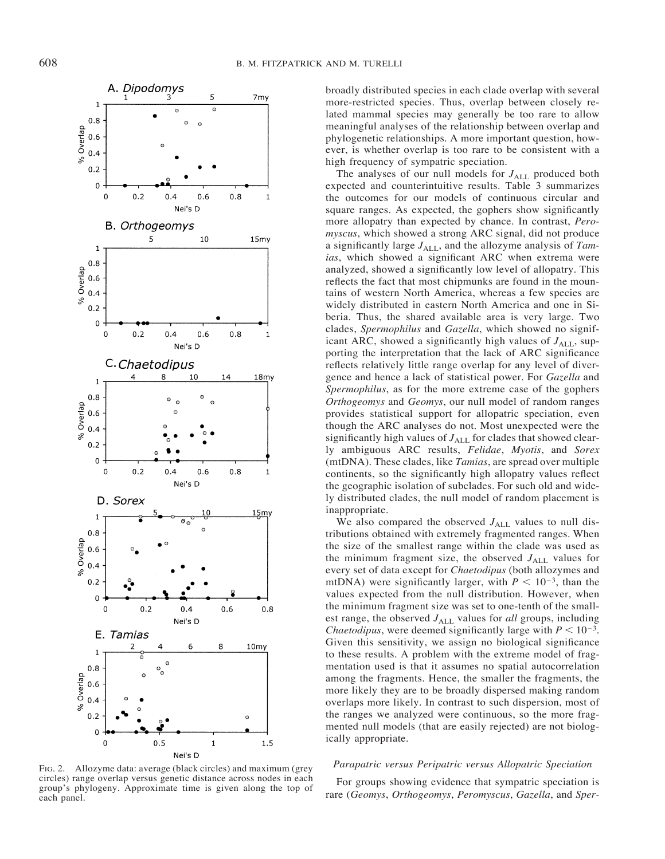

FIG. 2. Allozyme data: average (black circles) and maximum (grey circles) range overlap versus genetic distance across nodes in each group's phylogeny. Approximate time is given along the top of each panel.

broadly distributed species in each clade overlap with several more-restricted species. Thus, overlap between closely related mammal species may generally be too rare to allow meaningful analyses of the relationship between overlap and phylogenetic relationships. A more important question, however, is whether overlap is too rare to be consistent with a high frequency of sympatric speciation.

The analyses of our null models for *J*<sub>ALL</sub> produced both expected and counterintuitive results. Table 3 summarizes the outcomes for our models of continuous circular and square ranges. As expected, the gophers show significantly more allopatry than expected by chance. In contrast, *Peromyscus*, which showed a strong ARC signal, did not produce a significantly large  $J_{ALL}$ , and the allozyme analysis of *Tamias*, which showed a significant ARC when extrema were analyzed, showed a significantly low level of allopatry. This reflects the fact that most chipmunks are found in the mountains of western North America, whereas a few species are widely distributed in eastern North America and one in Siberia. Thus, the shared available area is very large. Two clades, *Spermophilus* and *Gazella*, which showed no significant ARC, showed a significantly high values of  $J<sub>ALL</sub>$ , supporting the interpretation that the lack of ARC significance reflects relatively little range overlap for any level of divergence and hence a lack of statistical power. For *Gazella* and *Spermophilus*, as for the more extreme case of the gophers *Orthogeomys* and *Geomys*, our null model of random ranges provides statistical support for allopatric speciation, even though the ARC analyses do not. Most unexpected were the significantly high values of  $J_{ALL}$  for clades that showed clearly ambiguous ARC results, *Felidae*, *Myotis*, and *Sorex* (mtDNA). These clades, like *Tamias*, are spread over multiple continents, so the significantly high allopatry values reflect the geographic isolation of subclades. For such old and widely distributed clades, the null model of random placement is inappropriate.

We also compared the observed  $J_{ALL}$  values to null distributions obtained with extremely fragmented ranges. When the size of the smallest range within the clade was used as the minimum fragment size, the observed  $J_{ALL}$  values for every set of data except for *Chaetodipus* (both allozymes and mtDNA) were significantly larger, with  $P < 10^{-3}$ , than the values expected from the null distribution. However, when the minimum fragment size was set to one-tenth of the smallest range, the observed  $J_{ALL}$  values for *all* groups, including *Chaetodipus*, were deemed significantly large with  $P < 10^{-3}$ . Given this sensitivity, we assign no biological significance to these results. A problem with the extreme model of fragmentation used is that it assumes no spatial autocorrelation among the fragments. Hence, the smaller the fragments, the more likely they are to be broadly dispersed making random overlaps more likely. In contrast to such dispersion, most of the ranges we analyzed were continuous, so the more fragmented null models (that are easily rejected) are not biologically appropriate.

#### *Parapatric versus Peripatric versus Allopatric Speciation*

For groups showing evidence that sympatric speciation is rare (*Geomys*, *Orthogeomys*, *Peromyscus*, *Gazella*, and *Sper-*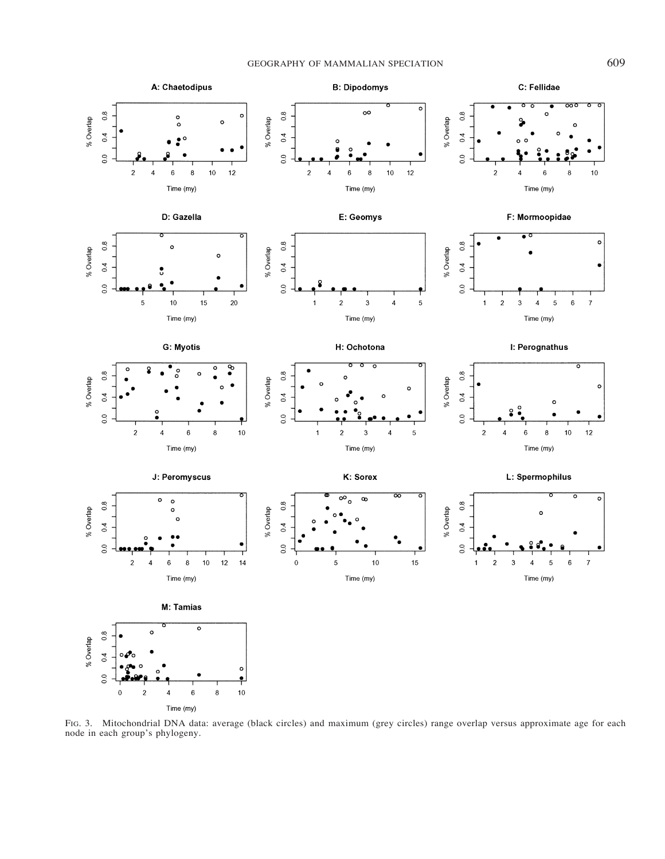GEOGRAPHY OF MAMMALIAN SPECIATION 609



FIG. 3. Mitochondrial DNA data: average (black circles) and maximum (grey circles) range overlap versus approximate age for each node in each group's phylogeny.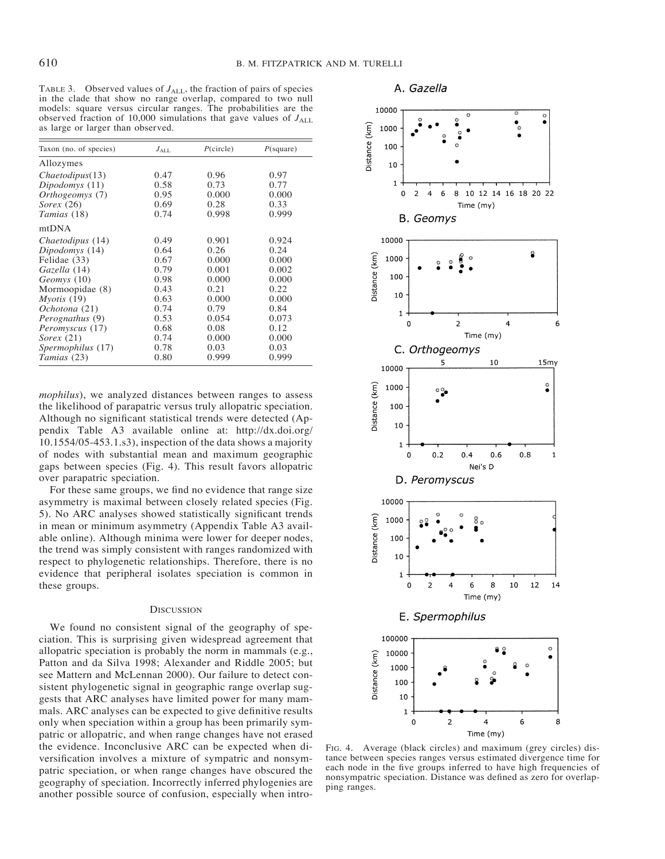TABLE 3. Observed values of  $J<sub>ALL</sub>$ , the fraction of pairs of species in the clade that show no range overlap, compared to two null models: square versus circular ranges. The probabilities are the observed fraction of 10,000 simulations that gave values of  $J_{ALL}$ as large or larger than observed.

| Taxon (no. of species) | $J_{\mathrm{ALL}}$ | $P$ (circle) | $P$ (square) |
|------------------------|--------------------|--------------|--------------|
| Allozymes              |                    |              |              |
| Chaetodipus(13)        | 0.47               | 0.96         | 0.97         |
| Dipodomys(11)          | 0.58               | 0.73         | 0.77         |
| Orthogeomys (7)        | 0.95               | 0.000        | 0.000        |
| Sorex $(26)$           | 0.69               | 0.28         | 0.33         |
| Tamias (18)            | 0.74               | 0.998        | 0.999        |
| mtDNA                  |                    |              |              |
| Chaetodipus (14)       | 0.49               | 0.901        | 0.924        |
| Dipodomys (14)         | 0.64               | 0.26         | 0.24         |
| Felidae (33)           | 0.67               | 0.000        | 0.000        |
| Gazella (14)           | 0.79               | 0.001        | 0.002        |
| Geomys (10)            | 0.98               | 0.000        | 0.000        |
| Mormoopidae (8)        | 0.43               | 0.21         | 0.22         |
| Mvotis(19)             | 0.63               | 0.000        | 0.000        |
| Ochotona (21)          | 0.74               | 0.79         | 0.84         |
| <i>Perognathus</i> (9) | 0.53               | 0.054        | 0.073        |
| Peromyscus (17)        | 0.68               | 0.08         | 0.12         |
| Sorex $(21)$           | 0.74               | 0.000        | 0.000        |
| Spermophilus (17)      | 0.78               | 0.03         | 0.03         |
| Tamias (23)            | 0.80               | 0.999        | 0.999        |

*mophilus*), we analyzed distances between ranges to assess the likelihood of parapatric versus truly allopatric speciation. Although no significant statistical trends were detected (Appendix Table A3 available online at: http://dx.doi.org/ 10.1554/05-453.1.s3), inspection of the data shows a majority of nodes with substantial mean and maximum geographic gaps between species (Fig. 4). This result favors allopatric over parapatric speciation.

For these same groups, we find no evidence that range size asymmetry is maximal between closely related species (Fig. 5). No ARC analyses showed statistically significant trends in mean or minimum asymmetry (Appendix Table A3 available online). Although minima were lower for deeper nodes, the trend was simply consistent with ranges randomized with respect to phylogenetic relationships. Therefore, there is no evidence that peripheral isolates speciation is common in these groups.

#### **DISCUSSION**

We found no consistent signal of the geography of speciation. This is surprising given widespread agreement that allopatric speciation is probably the norm in mammals (e.g., Patton and da Silva 1998; Alexander and Riddle 2005; but see Mattern and McLennan 2000). Our failure to detect consistent phylogenetic signal in geographic range overlap suggests that ARC analyses have limited power for many mammals. ARC analyses can be expected to give definitive results only when speciation within a group has been primarily sympatric or allopatric, and when range changes have not erased the evidence. Inconclusive ARC can be expected when diversification involves a mixture of sympatric and nonsympatric speciation, or when range changes have obscured the geography of speciation. Incorrectly inferred phylogenies are another possible source of confusion, especially when intro-

A. Gazella



FIG. 4. Average (black circles) and maximum (grey circles) distance between species ranges versus estimated divergence time for each node in the five groups inferred to have high frequencies of nonsympatric speciation. Distance was defined as zero for overlapping ranges.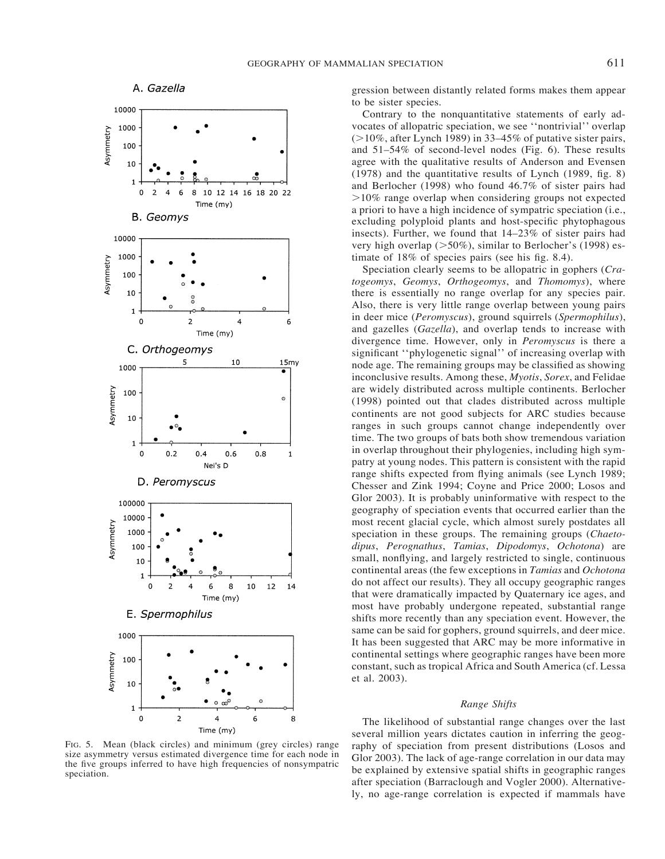



gression between distantly related forms makes them appear to be sister species.

Contrary to the nonquantitative statements of early advocates of allopatric speciation, we see ''nontrivial'' overlap  $(>10\%$ , after Lynch 1989) in 33–45% of putative sister pairs, and 51–54% of second-level nodes (Fig. 6). These results agree with the qualitative results of Anderson and Evensen (1978) and the quantitative results of Lynch (1989, fig. 8) and Berlocher (1998) who found 46.7% of sister pairs had  $>10\%$  range overlap when considering groups not expected a priori to have a high incidence of sympatric speciation (i.e., excluding polyploid plants and host-specific phytophagous insects). Further, we found that 14–23% of sister pairs had very high overlap ( $>50\%$ ), similar to Berlocher's (1998) estimate of 18% of species pairs (see his fig. 8.4).

Speciation clearly seems to be allopatric in gophers (*Cratogeomys*, *Geomys*, *Orthogeomys*, and *Thomomys*), where there is essentially no range overlap for any species pair. Also, there is very little range overlap between young pairs in deer mice (*Peromyscus*), ground squirrels (*Spermophilus*), and gazelles (*Gazella*), and overlap tends to increase with divergence time. However, only in *Peromyscus* is there a significant ''phylogenetic signal'' of increasing overlap with node age. The remaining groups may be classified as showing inconclusive results. Among these, *Myotis*, *Sorex*, and Felidae are widely distributed across multiple continents. Berlocher (1998) pointed out that clades distributed across multiple continents are not good subjects for ARC studies because ranges in such groups cannot change independently over time. The two groups of bats both show tremendous variation in overlap throughout their phylogenies, including high sympatry at young nodes. This pattern is consistent with the rapid range shifts expected from flying animals (see Lynch 1989; Chesser and Zink 1994; Coyne and Price 2000; Losos and Glor 2003). It is probably uninformative with respect to the geography of speciation events that occurred earlier than the most recent glacial cycle, which almost surely postdates all speciation in these groups. The remaining groups (*Chaetodipus*, *Perognathus*, *Tamias*, *Dipodomys*, *Ochotona*) are small, nonflying, and largely restricted to single, continuous continental areas (the few exceptions in *Tamias* and *Ochotona* do not affect our results). They all occupy geographic ranges that were dramatically impacted by Quaternary ice ages, and most have probably undergone repeated, substantial range shifts more recently than any speciation event. However, the same can be said for gophers, ground squirrels, and deer mice. It has been suggested that ARC may be more informative in continental settings where geographic ranges have been more constant, such as tropical Africa and South America (cf. Lessa et al. 2003).

## *Range Shifts*

FIG. 5. Mean (black circles) and minimum (grey circles) range size asymmetry versus estimated divergence time for each node in the five groups inferred to have high frequencies of nonsympatric speciation.

The likelihood of substantial range changes over the last several million years dictates caution in inferring the geography of speciation from present distributions (Losos and Glor 2003). The lack of age-range correlation in our data may be explained by extensive spatial shifts in geographic ranges after speciation (Barraclough and Vogler 2000). Alternatively, no age-range correlation is expected if mammals have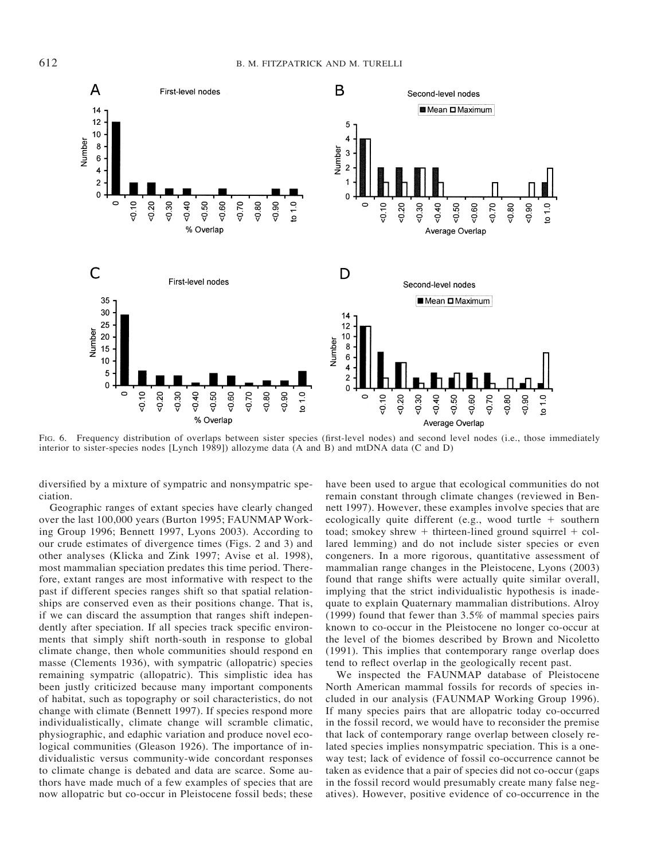

FIG. 6. Frequency distribution of overlaps between sister species (first-level nodes) and second level nodes (i.e., those immediately interior to sister-species nodes [Lynch 1989]) allozyme data (A and B) and mtDNA data (C and D)

diversified by a mixture of sympatric and nonsympatric speciation.

Geographic ranges of extant species have clearly changed over the last 100,000 years (Burton 1995; FAUNMAP Working Group 1996; Bennett 1997, Lyons 2003). According to our crude estimates of divergence times (Figs. 2 and 3) and other analyses (Klicka and Zink 1997; Avise et al. 1998), most mammalian speciation predates this time period. Therefore, extant ranges are most informative with respect to the past if different species ranges shift so that spatial relationships are conserved even as their positions change. That is, if we can discard the assumption that ranges shift independently after speciation. If all species track specific environments that simply shift north-south in response to global climate change, then whole communities should respond en masse (Clements 1936), with sympatric (allopatric) species remaining sympatric (allopatric). This simplistic idea has been justly criticized because many important components of habitat, such as topography or soil characteristics, do not change with climate (Bennett 1997). If species respond more individualistically, climate change will scramble climatic, physiographic, and edaphic variation and produce novel ecological communities (Gleason 1926). The importance of individualistic versus community-wide concordant responses to climate change is debated and data are scarce. Some authors have made much of a few examples of species that are now allopatric but co-occur in Pleistocene fossil beds; these

have been used to argue that ecological communities do not remain constant through climate changes (reviewed in Bennett 1997). However, these examples involve species that are ecologically quite different (e.g., wood turtle  $+$  southern toad; smokey shrew  $+$  thirteen-lined ground squirrel  $+$  collared lemming) and do not include sister species or even congeners. In a more rigorous, quantitative assessment of mammalian range changes in the Pleistocene, Lyons (2003) found that range shifts were actually quite similar overall, implying that the strict individualistic hypothesis is inadequate to explain Quaternary mammalian distributions. Alroy (1999) found that fewer than 3.5% of mammal species pairs known to co-occur in the Pleistocene no longer co-occur at the level of the biomes described by Brown and Nicoletto (1991). This implies that contemporary range overlap does tend to reflect overlap in the geologically recent past.

We inspected the FAUNMAP database of Pleistocene North American mammal fossils for records of species included in our analysis (FAUNMAP Working Group 1996). If many species pairs that are allopatric today co-occurred in the fossil record, we would have to reconsider the premise that lack of contemporary range overlap between closely related species implies nonsympatric speciation. This is a oneway test; lack of evidence of fossil co-occurrence cannot be taken as evidence that a pair of species did not co-occur (gaps in the fossil record would presumably create many false negatives). However, positive evidence of co-occurrence in the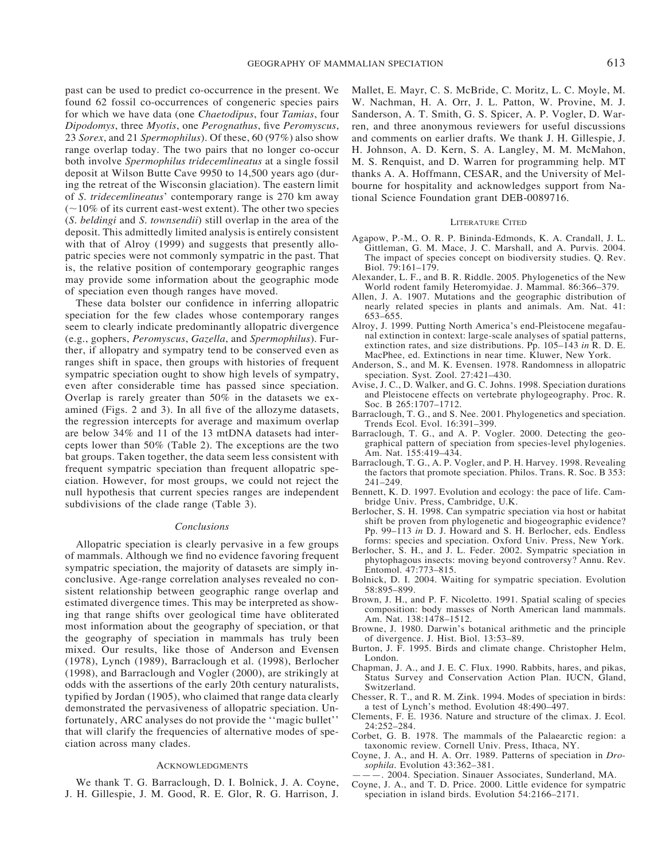past can be used to predict co-occurrence in the present. We found 62 fossil co-occurrences of congeneric species pairs for which we have data (one *Chaetodipus*, four *Tamias*, four *Dipodomys*, three *Myotis*, one *Perognathus*, five *Peromyscus*, 23 *Sorex*, and 21 *Spermophilus*). Of these, 60 (97%) also show range overlap today. The two pairs that no longer co-occur both involve *Spermophilus tridecemlineatus* at a single fossil deposit at Wilson Butte Cave 9950 to 14,500 years ago (during the retreat of the Wisconsin glaciation). The eastern limit of *S. tridecemlineatus*' contemporary range is 270 km away  $(\sim)10\%$  of its current east-west extent). The other two species (*S. beldingi* and *S. townsendii*) still overlap in the area of the deposit. This admittedly limited analysis is entirely consistent with that of Alroy (1999) and suggests that presently allopatric species were not commonly sympatric in the past. That is, the relative position of contemporary geographic ranges may provide some information about the geographic mode of speciation even though ranges have moved.

These data bolster our confidence in inferring allopatric speciation for the few clades whose contemporary ranges seem to clearly indicate predominantly allopatric divergence (e.g., gophers, *Peromyscus*, *Gazella*, and *Spermophilus*). Further, if allopatry and sympatry tend to be conserved even as ranges shift in space, then groups with histories of frequent sympatric speciation ought to show high levels of sympatry, even after considerable time has passed since speciation. Overlap is rarely greater than 50% in the datasets we examined (Figs. 2 and 3). In all five of the allozyme datasets, the regression intercepts for average and maximum overlap are below 34% and 11 of the 13 mtDNA datasets had intercepts lower than 50% (Table 2). The exceptions are the two bat groups. Taken together, the data seem less consistent with frequent sympatric speciation than frequent allopatric speciation. However, for most groups, we could not reject the null hypothesis that current species ranges are independent subdivisions of the clade range (Table 3).

#### *Conclusions*

Allopatric speciation is clearly pervasive in a few groups of mammals. Although we find no evidence favoring frequent sympatric speciation, the majority of datasets are simply inconclusive. Age-range correlation analyses revealed no consistent relationship between geographic range overlap and estimated divergence times. This may be interpreted as showing that range shifts over geological time have obliterated most information about the geography of speciation, or that the geography of speciation in mammals has truly been mixed. Our results, like those of Anderson and Evensen (1978), Lynch (1989), Barraclough et al. (1998), Berlocher (1998), and Barraclough and Vogler (2000), are strikingly at odds with the assertions of the early 20th century naturalists, typified by Jordan (1905), who claimed that range data clearly demonstrated the pervasiveness of allopatric speciation. Unfortunately, ARC analyses do not provide the ''magic bullet'' that will clarify the frequencies of alternative modes of speciation across many clades.

#### **ACKNOWLEDGMENTS**

We thank T. G. Barraclough, D. I. Bolnick, J. A. Coyne, J. H. Gillespie, J. M. Good, R. E. Glor, R. G. Harrison, J.

Mallet, E. Mayr, C. S. McBride, C. Moritz, L. C. Moyle, M. W. Nachman, H. A. Orr, J. L. Patton, W. Provine, M. J. Sanderson, A. T. Smith, G. S. Spicer, A. P. Vogler, D. Warren, and three anonymous reviewers for useful discussions and comments on earlier drafts. We thank J. H. Gillespie, J. H. Johnson, A. D. Kern, S. A. Langley, M. M. McMahon, M. S. Renquist, and D. Warren for programming help. MT thanks A. A. Hoffmann, CESAR, and the University of Melbourne for hospitality and acknowledges support from National Science Foundation grant DEB-0089716.

#### LITERATURE CITED

- Agapow, P.-M., O. R. P. Bininda-Edmonds, K. A. Crandall, J. L. Gittleman, G. M. Mace, J. C. Marshall, and A. Purvis. 2004. The impact of species concept on biodiversity studies. Q. Rev. Biol. 79:161–179.
- Alexander, L. F., and B. R. Riddle. 2005. Phylogenetics of the New World rodent family Heteromyidae. J. Mammal. 86:366–379.
- Allen, J. A. 1907. Mutations and the geographic distribution of nearly related species in plants and animals. Am. Nat. 41: 653–655.
- Alroy, J. 1999. Putting North America's end-Pleistocene megafaunal extinction in context: large-scale analyses of spatial patterns, extinction rates, and size distributions. Pp. 105–143 *in* R. D. E. MacPhee, ed. Extinctions in near time. Kluwer, New York.
- Anderson, S., and M. K. Evensen. 1978. Randomness in allopatric speciation. Syst. Zool. 27:421–430.
- Avise, J. C., D. Walker, and G. C. Johns. 1998. Speciation durations and Pleistocene effects on vertebrate phylogeography. Proc. R. Soc. B 265:1707–1712.
- Barraclough, T. G., and S. Nee. 2001. Phylogenetics and speciation. Trends Ecol. Evol. 16:391–399.
- Barraclough, T. G., and A. P. Vogler. 2000. Detecting the geographical pattern of speciation from species-level phylogenies. Am. Nat. 155:419–434.
- Barraclough, T. G., A. P. Vogler, and P. H. Harvey. 1998. Revealing the factors that promote speciation. Philos. Trans. R. Soc. B 353: 241–249.
- Bennett, K. D. 1997. Evolution and ecology: the pace of life. Cambridge Univ. Press, Cambridge, U.K.
- Berlocher, S. H. 1998. Can sympatric speciation via host or habitat shift be proven from phylogenetic and biogeographic evidence? Pp. 99–113 *in* D. J. Howard and S. H. Berlocher, eds. Endless forms: species and speciation. Oxford Univ. Press, New York.
- Berlocher, S. H., and J. L. Feder. 2002. Sympatric speciation in phytophagous insects: moving beyond controversy? Annu. Rev. Entomol. 47:773–815.
- Bolnick, D. I. 2004. Waiting for sympatric speciation. Evolution 58:895–899.
- Brown, J. H., and P. F. Nicoletto. 1991. Spatial scaling of species composition: body masses of North American land mammals. Am. Nat. 138:1478–1512.
- Browne, J. 1980. Darwin's botanical arithmetic and the principle of divergence. J. Hist. Biol. 13:53–89.
- Burton, J. F. 1995. Birds and climate change. Christopher Helm, London.
- Chapman, J. A., and J. E. C. Flux. 1990. Rabbits, hares, and pikas, Status Survey and Conservation Action Plan. IUCN, Gland, Switzerland.
- Chesser, R. T., and R. M. Zink. 1994. Modes of speciation in birds: a test of Lynch's method. Evolution 48:490–497.
- Clements, F. E. 1936. Nature and structure of the climax. J. Ecol. 24:252–284.
- Corbet, G. B. 1978. The mammals of the Palaearctic region: a taxonomic review. Cornell Univ. Press, Ithaca, NY.
- Coyne, J. A., and H. A. Orr. 1989. Patterns of speciation in *Drosophila*. Evolution 43:362–381.
- ———. 2004. Speciation. Sinauer Associates, Sunderland, MA.
- Coyne, J. A., and T. D. Price. 2000. Little evidence for sympatric speciation in island birds. Evolution 54:2166–2171.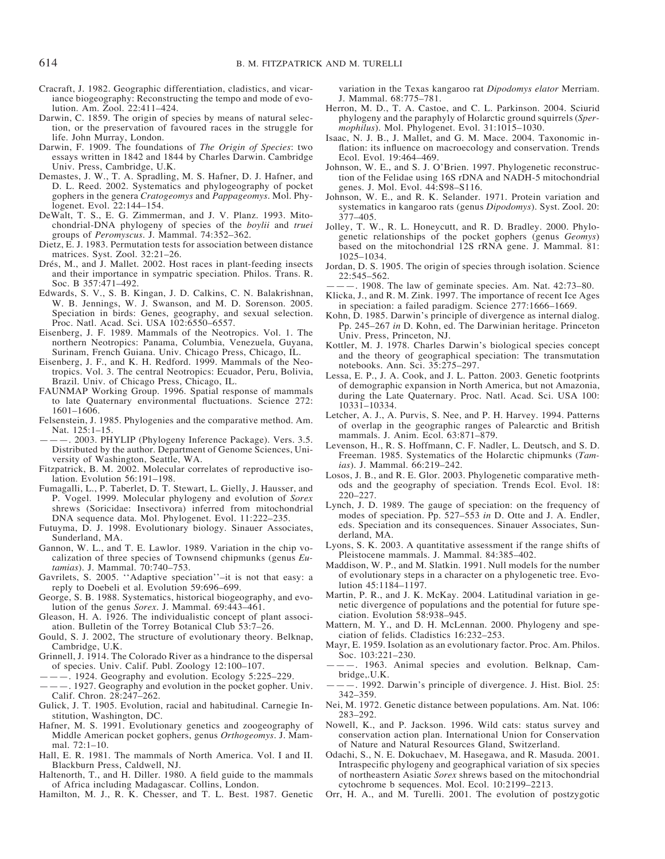- Cracraft, J. 1982. Geographic differentiation, cladistics, and vicariance biogeography: Reconstructing the tempo and mode of evolution. Am. Zool. 22:411–424.
- Darwin, C. 1859. The origin of species by means of natural selection, or the preservation of favoured races in the struggle for life. John Murray, London.
- Darwin, F. 1909. The foundations of *The Origin of Species*: two essays written in 1842 and 1844 by Charles Darwin. Cambridge Univ. Press, Cambridge, U.K.
- Demastes, J. W., T. A. Spradling, M. S. Hafner, D. J. Hafner, and D. L. Reed. 2002. Systematics and phylogeography of pocket gophers in the genera *Cratogeomys* and *Pappageomys*. Mol. Phylogenet. Evol. 22:144–154.
- DeWalt, T. S., E. G. Zimmerman, and J. V. Planz. 1993. Mitochondrial-DNA phylogeny of species of the *boylii* and *truei* groups of *Peromyscus*. J. Mammal. 74:352–362.
- Dietz, E. J. 1983. Permutation tests for association between distance matrices. Syst. Zool. 32:21–26.
- Drés, M., and J. Mallet. 2002. Host races in plant-feeding insects and their importance in sympatric speciation. Philos. Trans. R. Soc. B 357:471–492.
- Edwards, S. V., S. B. Kingan, J. D. Calkins, C. N. Balakrishnan, W. B. Jennings, W. J. Swanson, and M. D. Sorenson. 2005. Speciation in birds: Genes, geography, and sexual selection. Proc. Natl. Acad. Sci. USA 102:6550–6557.
- Eisenberg, J. F. 1989. Mammals of the Neotropics. Vol. 1. The northern Neotropics: Panama, Columbia, Venezuela, Guyana, Surinam, French Guiana. Univ. Chicago Press, Chicago, IL.
- Eisenberg, J. F., and K. H. Redford. 1999. Mammals of the Neotropics. Vol. 3. The central Neotropics: Ecuador, Peru, Bolivia, Brazil. Univ. of Chicago Press, Chicago, IL.
- FAUNMAP Working Group. 1996. Spatial response of mammals to late Quaternary environmental fluctuations. Science 272: 1601–1606.
- Felsenstein, J. 1985. Phylogenies and the comparative method. Am. Nat. 125:1–15.
- -. 2003. PHYLIP (Phylogeny Inference Package). Vers. 3.5. Distributed by the author. Department of Genome Sciences, University of Washington, Seattle, WA.
- Fitzpatrick, B. M. 2002. Molecular correlates of reproductive isolation. Evolution 56:191–198.
- Fumagalli, L., P. Taberlet, D. T. Stewart, L. Gielly, J. Hausser, and P. Vogel. 1999. Molecular phylogeny and evolution of *Sorex* shrews (Soricidae: Insectivora) inferred from mitochondrial DNA sequence data. Mol. Phylogenet. Evol. 11:222–235.
- Futuyma, D. J. 1998. Evolutionary biology. Sinauer Associates, Sunderland, MA.
- Gannon, W. L., and T. E. Lawlor. 1989. Variation in the chip vocalization of three species of Townsend chipmunks (genus *Eutamias*). J. Mammal. 70:740–753.
- Gavrilets, S. 2005. ''Adaptive speciation''–it is not that easy: a reply to Doebeli et al. Evolution 59:696–699.
- George, S. B. 1988. Systematics, historical biogeography, and evolution of the genus *Sorex*. J. Mammal. 69:443–461.
- Gleason, H. A. 1926. The individualistic concept of plant association. Bulletin of the Torrey Botanical Club 53:7–26.
- Gould, S. J. 2002, The structure of evolutionary theory. Belknap, Cambridge, U.K.
- Grinnell, J. 1914. The Colorado River as a hindrance to the dispersal of species. Univ. Calif. Publ. Zoology 12:100–107.
- ———. 1924. Geography and evolution. Ecology 5:225–229.
- ———. 1927. Geography and evolution in the pocket gopher. Univ. Calif. Chron. 28:247–262.
- Gulick, J. T. 1905. Evolution, racial and habitudinal. Carnegie Institution, Washington, DC.
- Hafner, M. S. 1991. Evolutionary genetics and zoogeography of Middle American pocket gophers, genus *Orthogeomys*. J. Mammal. 72:1–10.
- Hall, E. R. 1981. The mammals of North America. Vol. I and II. Blackburn Press, Caldwell, NJ.
- Haltenorth, T., and H. Diller. 1980. A field guide to the mammals of Africa including Madagascar. Collins, London.
- Hamilton, M. J., R. K. Chesser, and T. L. Best. 1987. Genetic

variation in the Texas kangaroo rat *Dipodomys elator* Merriam. J. Mammal. 68:775–781.

- Herron, M. D., T. A. Castoe, and C. L. Parkinson. 2004. Sciurid phylogeny and the paraphyly of Holarctic ground squirrels (*Spermophilus*). Mol. Phylogenet. Evol. 31:1015–1030.
- Isaac, N. J. B., J. Mallet, and G. M. Mace. 2004. Taxonomic inflation: its influence on macroecology and conservation. Trends Ecol. Evol. 19:464–469.
- Johnson, W. E., and S. J. O'Brien. 1997. Phylogenetic reconstruction of the Felidae using 16S rDNA and NADH-5 mitochondrial genes. J. Mol. Evol. 44:S98–S116.
- Johnson, W. E., and R. K. Selander. 1971. Protein variation and systematics in kangaroo rats (genus *Dipodomys*). Syst. Zool. 20: 377–405.
- Jolley, T. W., R. L. Honeycutt, and R. D. Bradley. 2000. Phylogenetic relationships of the pocket gophers (genus *Geomys*) based on the mitochondrial 12S rRNA gene. J. Mammal. 81: 1025–1034.
- Jordan, D. S. 1905. The origin of species through isolation. Science 22:545–562.
- ———. 1908. The law of geminate species. Am. Nat. 42:73–80.
- Klicka, J., and R. M. Zink. 1997. The importance of recent Ice Ages in speciation: a failed paradigm. Science 277:1666–1669.
- Kohn, D. 1985. Darwin's principle of divergence as internal dialog. Pp. 245–267 *in* D. Kohn, ed. The Darwinian heritage. Princeton Univ. Press, Princeton, NJ.
- Kottler, M. J. 1978. Charles Darwin's biological species concept and the theory of geographical speciation: The transmutation notebooks. Ann. Sci. 35:275–297.
- Lessa, E. P., J. A. Cook, and J. L. Patton. 2003. Genetic footprints of demographic expansion in North America, but not Amazonia, during the Late Quaternary. Proc. Natl. Acad. Sci. USA 100: 10331–10334.
- Letcher, A. J., A. Purvis, S. Nee, and P. H. Harvey. 1994. Patterns of overlap in the geographic ranges of Palearctic and British mammals. J. Anim. Ecol. 63:871–879.
- Levenson, H., R. S. Hoffmann, C. F. Nadler, L. Deutsch, and S. D. Freeman. 1985. Systematics of the Holarctic chipmunks (*Tamias*). J. Mammal. 66:219–242.
- Losos, J. B., and R. E. Glor. 2003. Phylogenetic comparative methods and the geography of speciation. Trends Ecol. Evol. 18: 220–227.
- Lynch, J. D. 1989. The gauge of speciation: on the frequency of modes of speciation. Pp. 527–553 *in* D. Otte and J. A. Endler, eds. Speciation and its consequences. Sinauer Associates, Sunderland, MA.
- Lyons, S. K. 2003. A quantitative assessment if the range shifts of Pleistocene mammals. J. Mammal. 84:385–402.
- Maddison, W. P., and M. Slatkin. 1991. Null models for the number of evolutionary steps in a character on a phylogenetic tree. Evolution 45:1184–1197.
- Martin, P. R., and J. K. McKay. 2004. Latitudinal variation in genetic divergence of populations and the potential for future speciation. Evolution 58:938–945.
- Mattern, M. Y., and D. H. McLennan. 2000. Phylogeny and speciation of felids. Cladistics 16:232–253.
- Mayr, E. 1959. Isolation as an evolutionary factor. Proc. Am. Philos. Soc. 103:221–230.
- ———. 1963. Animal species and evolution. Belknap, Cambridge,.U.K.
- ———. 1992. Darwin's principle of divergence. J. Hist. Biol. 25: 342–359.
- Nei, M. 1972. Genetic distance between populations. Am. Nat. 106: 283–292.
- Nowell, K., and P. Jackson. 1996. Wild cats: status survey and conservation action plan. International Union for Conservation of Nature and Natural Resources Gland, Switzerland.
- Odachi, S., N. E. Dokuchaev, M. Hasegawa, and R. Masuda. 2001. Intraspecific phylogeny and geographical variation of six species of northeastern Asiatic *Sorex* shrews based on the mitochondrial cytochrome b sequences. Mol. Ecol. 10:2199–2213.
- Orr, H. A., and M. Turelli. 2001. The evolution of postzygotic